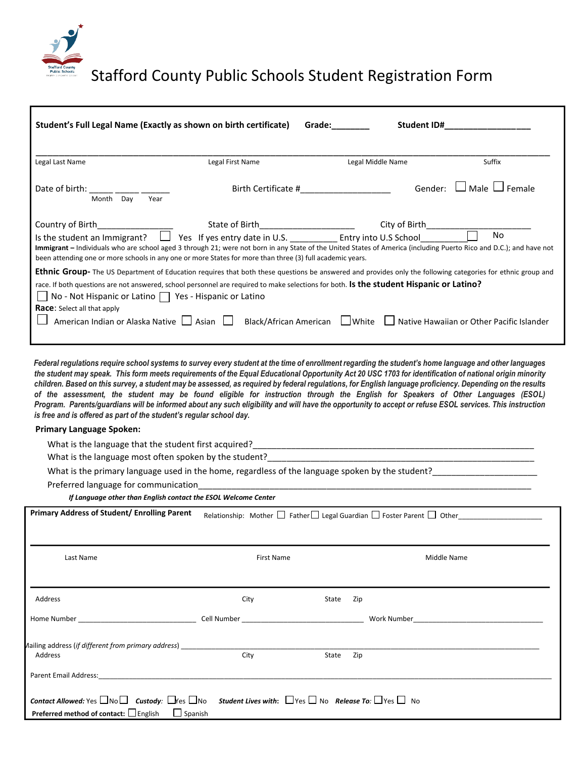

Stafford County Public Schools Student Registration Form

| Student's Full Legal Name (Exactly as shown on birth certificate)                                                                                                                                                                                                                                                                                                                                                                                                                                                                           |                                         | Grade: <b>Communist Communist Communist Communist Communist Communist Communist Communist Communist Co</b>                                                                                                                                                                                  |                    |  |
|---------------------------------------------------------------------------------------------------------------------------------------------------------------------------------------------------------------------------------------------------------------------------------------------------------------------------------------------------------------------------------------------------------------------------------------------------------------------------------------------------------------------------------------------|-----------------------------------------|---------------------------------------------------------------------------------------------------------------------------------------------------------------------------------------------------------------------------------------------------------------------------------------------|--------------------|--|
| Legal Last Name                                                                                                                                                                                                                                                                                                                                                                                                                                                                                                                             | Legal First Name                        | Legal Middle Name                                                                                                                                                                                                                                                                           | Suffix             |  |
| Date of birth: $\frac{1}{2}$ $\frac{1}{2}$ $\frac{1}{2}$ $\frac{1}{2}$ $\frac{1}{2}$<br>Month Day<br>Year                                                                                                                                                                                                                                                                                                                                                                                                                                   |                                         | Gender:<br>Birth Certificate #                                                                                                                                                                                                                                                              | Male $\Box$ Female |  |
| Country of Birth_________________<br>been attending one or more schools in any one or more States for more than three (3) full academic years.                                                                                                                                                                                                                                                                                                                                                                                              | State of Birth_________________________ | City of Birth____________<br>Is the student an Immigrant? $\Box$ Yes If yes entry date in U.S. Entry into U.S School<br>Immigrant - Individuals who are school aged 3 through 21; were not born in any State of the United States of America (including Puerto Rico and D.C.); and have not | No                 |  |
| <b>Ethnic Group-</b> The US Department of Education requires that both these questions be answered and provides only the following categories for ethnic group and<br>race. If both questions are not answered, school personnel are required to make selections for both. Is the student Hispanic or Latino?<br>No - Not Hispanic or Latino $\Box$ Yes - Hispanic or Latino<br><b>Race:</b> Select all that apply<br>American Indian or Alaska Native □ Asian □ Black/African American □ White □ Native Hawaiian or Other Pacific Islander |                                         |                                                                                                                                                                                                                                                                                             |                    |  |
|                                                                                                                                                                                                                                                                                                                                                                                                                                                                                                                                             |                                         |                                                                                                                                                                                                                                                                                             |                    |  |

*Federal regulations require school systems to survey every student at the time of enrollment regarding the student's home language and other languages the student may speak. This form meets requirements of the Equal Educational Opportunity Act 20 USC 1703 for identification of national origin minority children. Based on this survey, a student may be assessed, as required by federal regulations, for English language proficiency. Depending on the results of the assessment, the student may be found eligible for instruction through the English for Speakers of Other Languages (ESOL) Program. Parents/guardians will be informed about any such eligibility and will have the opportunity to accept or refuse ESOL services. This instruction is free and is offered as part of the student's regular school day.*

## **Primary Language Spoken:**

What is the language that the student first acquired?\_\_\_\_\_\_\_\_\_\_\_\_\_\_\_\_\_\_\_\_\_\_\_\_\_\_\_\_\_\_\_\_\_\_\_\_\_\_\_\_\_\_\_\_\_\_\_\_\_\_\_\_\_\_\_\_\_\_\_

What is the language most often spoken by the student?\_\_\_\_\_\_\_\_\_\_\_\_\_\_\_\_\_\_\_\_\_\_\_\_\_\_

What is the primary language used in the home, regardless of the language spoken by the student?\_\_\_\_\_\_\_\_\_\_\_\_\_\_\_\_\_\_\_\_\_\_

Preferred language for communication

*If Language other than English contact the ESOL Welcome Center*

| <b>Primary Address of Student/ Enrolling Parent</b><br>Relationship: Mother $\Box$ Father $\Box$ Legal Guardian $\Box$ Foster Parent $\Box$ Other                                                                                         |            |       |     |             |
|-------------------------------------------------------------------------------------------------------------------------------------------------------------------------------------------------------------------------------------------|------------|-------|-----|-------------|
| Last Name                                                                                                                                                                                                                                 | First Name |       |     | Middle Name |
| Address                                                                                                                                                                                                                                   | City       | State | Zip |             |
| Home Number and the contract of the Cell Number of the Cell Number of the Cell Number of the Cell Number of the Cell Number of the Cell Number of the Cell Number of the Cell Number of the Cell Number of the Cell Number of             |            |       |     |             |
| Aailing address (if different from primary address) example and the control of the control of the control of the control of the control of the control of the control of the control of the control of the control of the cont<br>Address | City       | State | Zip |             |
| Parent Email Address: North and Security and Security and Security and Security and Security and Security and S                                                                                                                           |            |       |     |             |
| <b>Contact Allowed:</b> Yes $\Box$ No $\Box$ <b>Custody:</b> $\Box$ Yes $\Box$ No <b>Student Lives with:</b> $\Box$ Yes $\Box$ No <b>Release To:</b> $\Box$ Yes $\Box$ No<br>Preferred method of contact: □ English<br>$\Box$ Spanish     |            |       |     |             |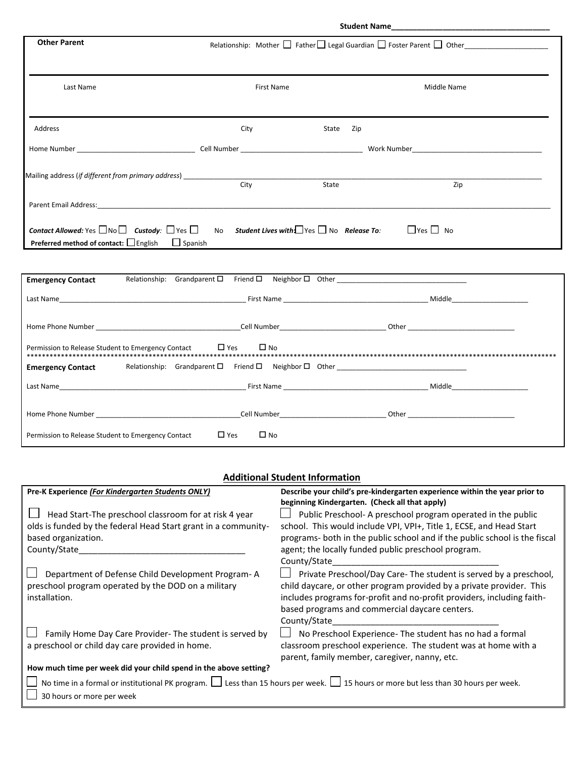| <b>Other Parent</b>                                                                                                                                                                                                            | Relationship: Mother □ Father □ Legal Guardian □ Foster Parent □ Other ________________ |           |                      |  |
|--------------------------------------------------------------------------------------------------------------------------------------------------------------------------------------------------------------------------------|-----------------------------------------------------------------------------------------|-----------|----------------------|--|
| Last Name                                                                                                                                                                                                                      | <b>First Name</b>                                                                       |           | Middle Name          |  |
| Address                                                                                                                                                                                                                        | City                                                                                    | State Zip |                      |  |
|                                                                                                                                                                                                                                |                                                                                         |           |                      |  |
| Mailing address (if different from primary address) ____________________________                                                                                                                                               | City                                                                                    | State     | Zip                  |  |
| Parent Email Address: No. 2014 19:30: 20:30: 20:30: 20:30: 20:30: 20:30: 20:30: 20:30: 20:30: 20:30: 20:30: 20:30: 20:30: 20:30: 20:30: 20:30: 20:30: 20:30: 20:30: 20:30: 20:30: 20:30: 20:30: 20:30: 20:30: 20:30: 20:30: 20 |                                                                                         |           |                      |  |
| <b>Contact Allowed:</b> Yes $\Box$ No $\Box$ <b>Custody:</b> $\Box$ Yes $\Box$ No <b>Student Lives with:</b> $\Box$ Yes $\Box$ No <b>Release To:</b><br><b>Preferred method of contact:</b> $\Box$ English $\Box$ Spanish      |                                                                                         |           | $\Box$ Yes $\Box$ No |  |
| <b>Emergency Contact</b>                                                                                                                                                                                                       | Relationship: Grandparent $\square$ Friend $\square$ Neighbor $\square$ Other           |           |                      |  |
|                                                                                                                                                                                                                                |                                                                                         |           |                      |  |
|                                                                                                                                                                                                                                |                                                                                         |           |                      |  |
| Permission to Release Student to Emergency Contact                                                                                                                                                                             | $\Box$ Yes<br>$\square$ No                                                              |           |                      |  |

## **Additional Student Information**

\*\*\*\*\*\*\*\*\*\*\*\*\*\*\*\*\*\*\*\*\*\*\*\*\*\*\*\*\*\*\*\*\*\*\*\*\*\*\*\*\*\*\*\*\*\*\*\*\*\*\*\*\*\*\*\*\*\*\*\*\*\*\*\*\*\*\*\*\*\*\*\*\*\*\*\*\*\*\*\*\*\*\*\*\*\*\*\*\*\*\*\*\*\*\*\*\*\*\*\*\*\*\*\*\*\*\*\*\*\*\*\*\*\*\*\*\*\*\*\*\*\*\*\*\*\*\*\*\*\*\*\*\*\*\*\*\*\*\*

Last Name\_\_\_\_\_\_\_\_\_\_\_\_\_\_\_\_\_\_\_\_\_\_\_\_\_\_\_\_\_\_\_\_\_\_\_\_\_\_\_\_\_\_\_\_\_\_\_\_\_ First Name \_\_\_\_\_\_\_\_\_\_\_\_\_\_\_\_\_\_\_\_\_\_\_\_\_\_\_\_\_\_\_\_\_\_\_\_\_\_ Middle\_\_\_\_\_\_\_\_\_\_\_\_\_\_\_\_\_\_\_\_

Home Phone Number \_\_\_\_\_\_\_\_\_\_\_\_\_\_\_\_\_\_\_\_\_\_\_\_\_\_\_\_\_\_\_\_\_\_\_\_\_\_Cell Number\_\_\_\_\_\_\_\_\_\_\_\_\_\_\_\_\_\_\_\_\_\_\_\_\_\_\_\_ Other \_\_\_\_\_\_\_\_\_\_\_\_\_\_\_\_\_\_\_\_\_\_\_\_\_\_\_\_

**Emergency Contact** Relationship: Grandparent Friend Neighbor Other \_\_\_\_\_\_\_\_\_\_\_\_\_\_\_\_\_\_\_\_\_\_\_\_\_\_\_\_\_\_\_\_\_\_

Permission to Release Student to Emergency Contact  $\Box$  Yes  $\Box$  No

| Pre-K Experience (For Kindergarten Students ONLY)                                                                                             | Describe your child's pre-kindergarten experience within the year prior to |  |
|-----------------------------------------------------------------------------------------------------------------------------------------------|----------------------------------------------------------------------------|--|
|                                                                                                                                               | beginning Kindergarten. (Check all that apply)                             |  |
| Head Start-The preschool classroom for at risk 4 year                                                                                         | Public Preschool-A preschool program operated in the public                |  |
| olds is funded by the federal Head Start grant in a community-                                                                                | school. This would include VPI, VPI+, Title 1, ECSE, and Head Start        |  |
| based organization.                                                                                                                           | programs- both in the public school and if the public school is the fiscal |  |
| County/State                                                                                                                                  | agent; the locally funded public preschool program.                        |  |
|                                                                                                                                               | County/State                                                               |  |
| Department of Defense Child Development Program-A                                                                                             | Private Preschool/Day Care- The student is served by a preschool,          |  |
| preschool program operated by the DOD on a military                                                                                           | child daycare, or other program provided by a private provider. This       |  |
| installation.                                                                                                                                 | includes programs for-profit and no-profit providers, including faith-     |  |
|                                                                                                                                               | based programs and commercial daycare centers.                             |  |
|                                                                                                                                               | County/State                                                               |  |
| Family Home Day Care Provider- The student is served by                                                                                       | No Preschool Experience- The student has no had a formal                   |  |
|                                                                                                                                               |                                                                            |  |
| a preschool or child day care provided in home.                                                                                               | classroom preschool experience. The student was at home with a             |  |
|                                                                                                                                               | parent, family member, caregiver, nanny, etc.                              |  |
| How much time per week did your child spend in the above setting?                                                                             |                                                                            |  |
| No time in a formal or institutional PK program. $\Box$ Less than 15 hours per week. $\Box$ 15 hours or more but less than 30 hours per week. |                                                                            |  |
| 30 hours or more per week                                                                                                                     |                                                                            |  |
|                                                                                                                                               |                                                                            |  |